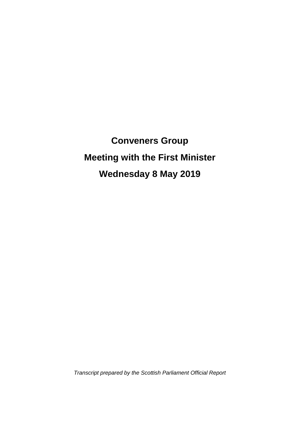**Conveners Group Meeting with the First Minister Wednesday 8 May 2019**

*Transcript prepared by the Scottish Parliament Official Report*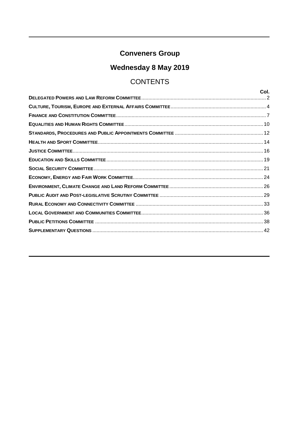# **Conveners Group**

# Wednesday 8 May 2019

# **CONTENTS**

| Col. |
|------|
|      |
|      |
|      |
|      |
|      |
|      |
|      |
|      |
|      |
|      |
|      |
|      |
|      |
|      |
|      |
|      |
|      |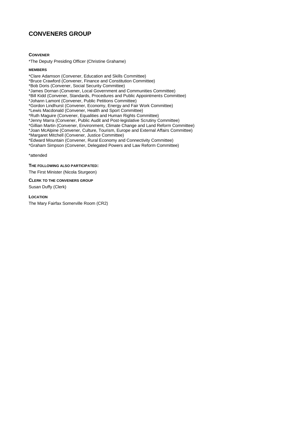# **CONVENERS GROUP**

#### **CONVENER**

\*The Deputy Presiding Officer (Christine Grahame)

#### **MEMBERS**

\*Clare Adamson (Convener, Education and Skills Committee)

- \*Bruce Crawford (Convener, Finance and Constitution Committee)
- \*Bob Doris (Convener, Social Security Committee)
- \*James Dornan (Convener, Local Government and Communities Committee)
- \*Bill Kidd (Convener, Standards, Procedures and Public Appointments Committee)
- \*Johann Lamont (Convener, Public Petitions Committee)
- \*Gordon Lindhurst (Convener, Economy, Energy and Fair Work Committee)
- \*Lewis Macdonald (Convener, Health and Sport Committee)
- \*Ruth Maguire (Convener, Equalities and Human Rights Committee)
- \*Jenny Marra (Convener, Public Audit and Post-legislative Scrutiny Committee)
- \*Gillian Martin (Convener, Environment, Climate Change and Land Reform Committee)
- \*Joan McAlpine (Convener, Culture, Tourism, Europe and External Affairs Committee)
- \*Margaret Mitchell (Convener, Justice Committee)
- \*Edward Mountain (Convener, Rural Economy and Connectivity Committee)
- \*Graham Simpson (Convener, Delegated Powers and Law Reform Committee)

\*attended

#### **THE FOLLOWING ALSO PARTICIPATED:**

The First Minister (Nicola Sturgeon)

#### **CLERK TO THE CONVENERS GROUP**

Susan Duffy (Clerk)

#### **LOCATION**

The Mary Fairfax Somerville Room (CR2)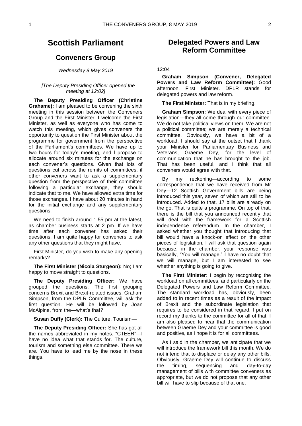# **Scottish Parliament**

### **Conveners Group**

*Wednesday 8 May 2019*

#### *[The Deputy Presiding Officer opened the meeting at 12:02]*

**The Deputy Presiding Officer (Christine Grahame):** I am pleased to be convening the sixth meeting in this session between the Conveners Group and the First Minister. I welcome the First Minister, as well as everyone who has come to watch this meeting, which gives conveners the opportunity to question the First Minister about the programme for government from the perspective of the Parliament's committees. We have up to two hours for today's meeting, and I propose to allocate around six minutes for the exchange on each convener's questions. Given that lots of questions cut across the remits of committees, if other conveners want to ask a supplementary question from the perspective of their committee following a particular exchange, they should indicate that to me. We have allowed extra time for those exchanges. I have about 20 minutes in hand for the initial exchange and any supplementary questions.

We need to finish around 1.55 pm at the latest, as chamber business starts at 2 pm. If we have time after each convener has asked their questions, I am quite happy for conveners to ask any other questions that they might have.

First Minister, do you wish to make any opening remarks?

**The First Minister (Nicola Sturgeon):** No; I am happy to move straight to questions.

**The Deputy Presiding Officer:** We have grouped the questions. The first grouping concerns Brexit and Brexit-related issues. Graham Simpson, from the DPLR Committee, will ask the first question. He will be followed by Joan McAlpine, from the—what's that?

**Susan Duffy (Clerk):** The Culture, Tourism—

**The Deputy Presiding Officer:** She has got all the names abbreviated in my notes. "CTEER"—I have no idea what that stands for. The culture, tourism and something else committee. There we are. You have to lead me by the nose in these things.

# <span id="page-4-0"></span>**Delegated Powers and Law Reform Committee**

12:04

**Graham Simpson (Convener, Delegated Powers and Law Reform Committee):** Good afternoon, First Minister. DPLR stands for delegated powers and law reform.

**The First Minister:** That is in my briefing.

**Graham Simpson:** We deal with every piece of legislation—they all come through our committee. We do not take political views on them. We are not a political committee; we are merely a technical committee. Obviously, we have a bit of a workload. I should say at the outset that I thank your Minister for Parliamentary Business and Veterans, Graeme Dey, for the level of communication that he has brought to the job. That has been useful, and I think that all conveners would agree with that.

By my reckoning—according to some correspondence that we have received from Mr Dey—12 Scottish Government bills are being introduced this year, seven of which are still to be introduced. Added to that, 17 bills are already on the go. That is quite a programme. On top of that, there is the bill that you announced recently that will deal with the framework for a Scottish independence referendum. In the chamber, I asked whether you thought that introducing that bill would have a knock-on effect on the other pieces of legislation. I will ask that question again because, in the chamber, your response was basically, "You will manage." I have no doubt that we will manage, but I am interested to see whether anything is going to give.

**The First Minister:** I begin by recognising the workload on all committees, and particularly on the Delegated Powers and Law Reform Committee. The standard workload has, obviously, been added to in recent times as a result of the impact of Brexit and the subordinate legislation that requires to be considered in that regard. I put on record my thanks to the committee for all of that. I am also pleased to hear that the communication between Graeme Dey and your committee is good and positive, as I hope it is for all committees.

As I said in the chamber, we anticipate that we will introduce the framework bill this month. We do not intend that to displace or delay any other bills. Obviously, Graeme Dey will continue to discuss the timing, sequencing and day-to-day management of bills with committee conveners as appropriate, but we do not propose that any other bill will have to slip because of that one.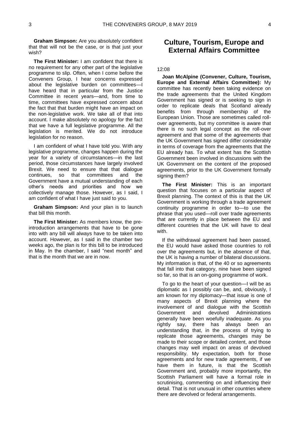**Graham Simpson:** Are you absolutely confident that that will not be the case, or is that just your wish?

**The First Minister:** I am confident that there is no requirement for any other part of the legislative programme to slip. Often, when I come before the Conveners Group, I hear concerns expressed about the legislative burden on committees—I have heard that in particular from the Justice Committee in recent years—and, from time to time, committees have expressed concern about the fact that that burden might have an impact on the non-legislative work. We take all of that into account. I make absolutely no apology for the fact that we have a full legislative programme. All the legislation is merited. We do not introduce legislation for no reason.

I am confident of what I have told you. With any legislative programme, changes happen during the year for a variety of circumstances—in the last period, those circumstances have largely involved Brexit. We need to ensure that that dialogue continues, so that committees and the Government have a mutual understanding of each other's needs and priorities and how we collectively manage those. However, as I said, I am confident of what I have just said to you.

**Graham Simpson:** And your plan is to launch that bill this month.

**The First Minister:** As members know, the preintroduction arrangements that have to be gone into with any bill will always have to be taken into account. However, as I said in the chamber two weeks ago, the plan is for this bill to be introduced in May. In the chamber, I said "next month" and that is the month that we are in now.

# <span id="page-5-0"></span>**Culture, Tourism, Europe and External Affairs Committee**

#### 12:08

**Joan McAlpine (Convener, Culture, Tourism, Europe and External Affairs Committee):** My committee has recently been taking evidence on the trade agreements that the United Kingdom Government has signed or is seeking to sign in order to replicate deals that Scotland already benefits from through membership of the European Union. Those are sometimes called rollover agreements, but my committee is aware that there is no such legal concept as the roll-over agreement and that some of the agreements that the UK Government has signed differ considerably in terms of coverage from the agreements that the EU already has. To what extent has the Scottish Government been involved in discussions with the UK Government on the content of the proposed agreements, prior to the UK Government formally signing them?

**The First Minister:** This is an important question that focuses on a particular aspect of Brexit planning. The context of this is that the UK Government is working through a trade agreement continuity programme in order to—to use the phrase that you used—roll over trade agreements that are currently in place between the EU and different countries that the UK will have to deal with

If the withdrawal agreement had been passed, the EU would have asked those countries to roll over the agreements but, in the absence of that, the UK is having a number of bilateral discussions. My information is that, of the 40 or so agreements that fall into that category, nine have been signed so far, so that is an on-going programme of work.

To go to the heart of your question—I will be as diplomatic as I possibly can be, and, obviously, I am known for my diplomacy—that issue is one of many aspects of Brexit planning where the involvement of and dialogue with the Scottish Government and devolved Administrations generally have been woefully inadequate. As you rightly say, there has always been an understanding that, in the process of trying to replicate those agreements, changes may be made to their scope or detailed content, and those changes may well impact on areas of devolved responsibility. My expectation, both for those agreements and for new trade agreements, if we have them in future, is that the Scottish Government and, probably more importantly, the Scottish Parliament will have a formal role in scrutinising, commenting on and influencing their detail. That is not unusual in other countries where there are devolved or federal arrangements.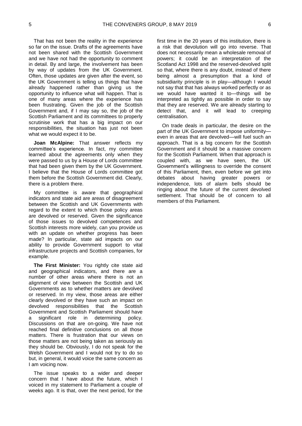That has not been the reality in the experience so far on the issue. Drafts of the agreements have not been shared with the Scottish Government and we have not had the opportunity to comment in detail. By and large, the involvement has been by way of updates from the UK Government. Often, those updates are given after the event, so the UK Government is telling us things that have already happened rather than giving us the opportunity to influence what will happen. That is one of many areas where the experience has been frustrating. Given the job of the Scottish Government and, if I may say so, the job of the Scottish Parliament and its committees to properly scrutinise work that has a big impact on our responsibilities, the situation has just not been what we would expect it to be.

**Joan McAlpine:** That answer reflects my committee's experience. In fact, my committee learned about the agreements only when they were passed to us by a House of Lords committee that had been given them by the UK Government. I believe that the House of Lords committee got them before the Scottish Government did. Clearly, there is a problem there.

My committee is aware that geographical indicators and state aid are areas of disagreement between the Scottish and UK Governments with regard to the extent to which those policy areas are devolved or reserved. Given the significance of those issues to devolved competences and Scottish interests more widely, can you provide us with an update on whether progress has been made? In particular, state aid impacts on our ability to provide Government support to vital infrastructure projects and Scottish companies, for example.

**The First Minister:** You rightly cite state aid and geographical indicators, and there are a number of other areas where there is not an alignment of view between the Scottish and UK Governments as to whether matters are devolved or reserved. In my view, those areas are either clearly devolved or they have such an impact on devolved responsibilities that the Scottish Government and Scottish Parliament should have a significant role in determining policy. Discussions on that are on-going. We have not reached final definitive conclusions on all those matters. There is frustration that our views on those matters are not being taken as seriously as they should be. Obviously, I do not speak for the Welsh Government and I would not try to do so but, in general, it would voice the same concern as I am voicing now.

The issue speaks to a wider and deeper concern that I have about the future, which I voiced in my statement to Parliament a couple of weeks ago. It is that, over the next period, for the

first time in the 20 years of this institution, there is a risk that devolution will go into reverse. That does not necessarily mean a wholesale removal of powers; it could be an interpretation of the Scotland Act 1998 and the reserved-devolved split so that, where there is any doubt, instead of there being almost a presumption that a kind of subsidiarity principle is in play—although I would not say that that has always worked perfectly or as we would have wanted it to—things will be interpreted as tightly as possible in order to say that they are reserved. We are already starting to detect that, and it will lead to creeping centralisation.

On trade deals in particular, the desire on the part of the UK Government to impose uniformity even in areas that are devolved—will fuel such an approach. That is a big concern for the Scottish Government and it should be a massive concern for the Scottish Parliament. When that approach is coupled with, as we have seen, the UK Government's willingness to override the consent of this Parliament, then, even before we get into debates about having greater powers or independence, lots of alarm bells should be ringing about the future of the current devolved settlement. That should be of concern to all members of this Parliament.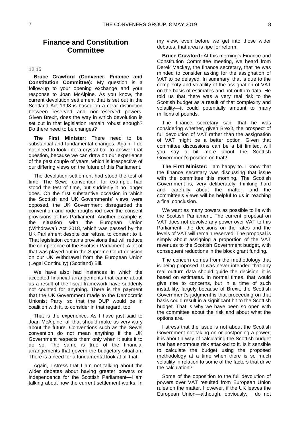# <span id="page-7-0"></span>**Finance and Constitution Committee**

#### 12:15

**Bruce Crawford (Convener, Finance and Constitution Committee):** My question is a follow-up to your opening exchange and your response to Joan McAlpine. As you know, the current devolution settlement that is set out in the Scotland Act 1998 is based on a clear distinction between reserved and non-reserved powers. Given Brexit, does the way in which devolution is set out in that legislation remain robust enough? Do there need to be changes?

**The First Minister:** There need to be substantial and fundamental changes. Again, I do not need to look into a crystal ball to answer that question, because we can draw on our experience of the past couple of years, which is irrespective of our differing views on the future of this Parliament.

The devolution settlement had stood the test of time. The Sewel convention, for example, had stood the test of time, but suddenly it no longer does. On the first substantive occasion in which the Scottish and UK Governments' views were opposed, the UK Government disregarded the convention and rode roughshod over the consent provisions of this Parliament. Another example is the situation with the European Union (Withdrawal) Act 2018, which was passed by the UK Parliament despite our refusal to consent to it. That legislation contains provisions that will reduce the competence of the Scottish Parliament. A lot of that was played out in the Supreme Court decision on our UK Withdrawal from the European Union (Legal Continuity) (Scotland) Bill.

We have also had instances in which the accepted financial arrangements that came about as a result of the fiscal framework have suddenly not counted for anything. There is the payment that the UK Government made to the Democratic Unionist Party, so that the DUP would be in coalition with it, to consider in that regard, too.

That is the experience. As I have just said to Joan McAlpine, all that should make us very wary about the future. Conventions such as the Sewel convention do not mean anything if the UK Government respects them only when it suits it to do so. The same is true of the financial arrangements that govern the budgetary situation. There is a need for a fundamental look at all that.

Again, I stress that I am not talking about the wider debates about having greater powers or independence for the Scottish Parliament—I am talking about how the current settlement works. In

my view, even before we get into those wider debates, that area is ripe for reform.

**Bruce Crawford:** At this morning's Finance and Constitution Committee meeting, we heard from Derek Mackay, the finance secretary, that he was minded to consider asking for the assignation of VAT to be delayed. In summary, that is due to the complexity and volatility of the assignation of VAT on the basis of estimates and not outturn data. He told us that there was a very real risk to the Scottish budget as a result of that complexity and volatility—it could potentially amount to many millions of pounds.

The finance secretary said that he was considering whether, given Brexit, the prospect of full devolution of VAT rather than the assignation of VAT might be a better option. Given that committee discussions can be a bit limited, will you say a bit more about the Scottish Government's position on that?

**The First Minister:** I am happy to. I know that the finance secretary was discussing that issue with the committee this morning. The Scottish Government is, very deliberately, thinking hard and carefully about the matter, and the committee's views will be helpful to us in reaching a final conclusion.

We want as many powers as possible to lie with the Scottish Parliament. The current proposal on VAT does not devolve any power over VAT to this Parliament—the decisions on the rates and the levels of VAT will remain reserved. The proposal is simply about assigning a proportion of the VAT revenues to the Scottish Government budget, with consequent reductions in the block grant funding.

The concern comes from the methodology that is being proposed. It was never intended that any real outturn data should guide the decision; it is based on estimates. In normal times, that would give rise to concerns, but in a time of such instability, largely because of Brexit, the Scottish Government's judgment is that proceeding on that basis could result in a significant hit to the Scottish budget. That is why we have been so open with the committee about the risk and about what the options are.

I stress that the issue is not about the Scottish Government not taking on or postponing a power; it is about a way of calculating the Scottish budget that has enormous risk attacked to it. Is it sensible to calculate the budget using the proposed methodology at a time when there is so much volatility in relation to some of the factors that drive the calculation?

Some of the opposition to the full devolution of powers over VAT resulted from European Union rules on the matter. However, if the UK leaves the European Union—although, obviously, I do not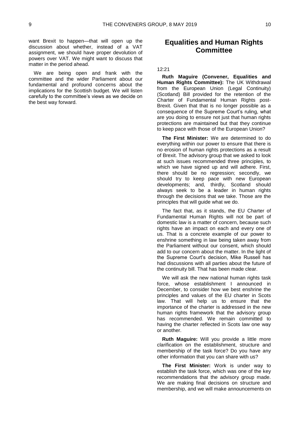want Brexit to happen—that will open up the discussion about whether, instead of a VAT assignment, we should have proper devolution of powers over VAT. We might want to discuss that matter in the period ahead.

We are being open and frank with the committee and the wider Parliament about our fundamental and profound concerns about the implications for the Scottish budget. We will listen carefully to the committee's views as we decide on the best way forward.

# <span id="page-8-0"></span>**Equalities and Human Rights Committee**

#### 12:21

**Ruth Maguire (Convener, Equalities and Human Rights Committee):** The UK Withdrawal from the European Union (Legal Continuity) (Scotland) Bill provided for the retention of the Charter of Fundamental Human Rights post-Brexit. Given that that is no longer possible as a consequence of the Supreme Court's ruling, what are you doing to ensure not just that human rights protections are maintained but that they continue to keep pace with those of the European Union?

**The First Minister:** We are determined to do everything within our power to ensure that there is no erosion of human rights protections as a result of Brexit. The advisory group that we asked to look at such issues recommended three principles, to which we have signed up and will adhere. First, there should be no regression; secondly, we should try to keep pace with new European developments; and, thirdly, Scotland should always seek to be a leader in human rights through the decisions that we take. Those are the principles that will guide what we do.

The fact that, as it stands, the EU Charter of Fundamental Human Rights will not be part of domestic law is a matter of concern, because such rights have an impact on each and every one of us. That is a concrete example of our power to enshrine something in law being taken away from the Parliament without our consent, which should add to our concern about the matter. In the light of the Supreme Court's decision, Mike Russell has had discussions with all parties about the future of the continuity bill. That has been made clear.

We will ask the new national human rights task force, whose establishment I announced in December, to consider how we best enshrine the principles and values of the EU charter in Scots law. That will help us to ensure that the importance of the charter is addressed in the new human rights framework that the advisory group has recommended. We remain committed to having the charter reflected in Scots law one way or another.

**Ruth Maguire:** Will you provide a little more clarification on the establishment, structure and membership of the task force? Do you have any other information that you can share with us?

**The First Minister:** Work is under way to establish the task force, which was one of the key recommendations that the advisory group made. We are making final decisions on structure and membership, and we will make announcements on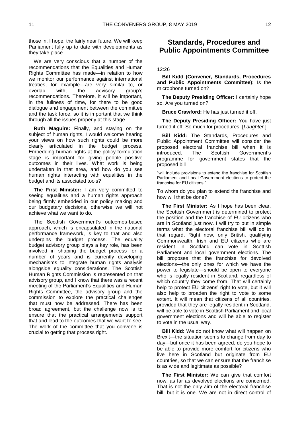those in, I hope, the fairly near future. We will keep Parliament fully up to date with developments as they take place.

We are very conscious that a number of the recommendations that the Equalities and Human Rights Committee has made—in relation to how we monitor our performance against international treaties, for example—are very similar to, or overlap with, the advisory group's recommendations. Therefore, it will be important, in the fullness of time, for there to be good dialogue and engagement between the committee and the task force, so it is important that we think through all the issues properly at this stage.

**Ruth Maguire:** Finally, and staying on the subject of human rights, I would welcome hearing your views on how such rights could be more clearly articulated in the budget process. Embedding human rights at the policy formulation stage is important for giving people positive outcomes in their lives. What work is being undertaken in that area, and how do you see human rights interacting with equalities in the budget and its associated tools?

**The First Minister:** I am very committed to seeing equalities and a human rights approach being firmly embedded in our policy making and our budgetary decisions, otherwise we will not achieve what we want to do.

The Scottish Government's outcomes-based approach, which is encapsulated in the national performance framework, is key to that and also underpins the budget process. The equality budget advisory group plays a key role, has been involved in shaping the budget process for a number of years and is currently developing mechanisms to integrate human rights analysis alongside equality considerations. The Scottish Human Rights Commission is represented on that advisory group, and I know that there was a recent meeting of the Parliament's Equalities and Human Rights Committee, the advisory group and the commission to explore the practical challenges that must now be addressed. There has been broad agreement, but the challenge now is to ensure that the practical arrangements support that and lead to the outcomes that we want to see. The work of the committee that you convene is crucial to getting that process right.

# <span id="page-9-0"></span>**Standards, Procedures and Public Appointments Committee**

12:26

**Bill Kidd (Convener, Standards, Procedures and Public Appointments Committee):** Is the microphone turned on?

**The Deputy Presiding Officer:** I certainly hope so. Are you turned on?

**Bruce Crawford:** He has just turned it off.

**The Deputy Presiding Officer:** You have just turned it off. So much for procedures. [*Laughter*.]

**Bill Kidd:** The Standards, Procedures and Public Appointment Committee will consider the proposed electoral franchise bill when it is introduced. The Scottish Government's programme for government states that the proposed bill

"will include provisions to extend the franchise for Scottish Parliament and Local Government elections to protect the franchise for EU citizens."

To whom do you plan to extend the franchise and how will that be done?

**The First Minister:** As I hope has been clear, the Scottish Government is determined to protect the position and the franchise of EU citizens who are in Scotland just now. I will try to put in simple terms what the electoral franchise bill will do in that regard. Right now, only British, qualifying Commonwealth, Irish and EU citizens who are resident in Scotland can vote in Scottish Parliament and local government elections. The bill proposes that the franchise for devolved elections—the only ones for which we have the power to legislate—should be open to everyone who is legally resident in Scotland, regardless of which country they come from. That will certainly help to protect EU citizens' right to vote, but it will also help to broaden the right to vote to some extent. It will mean that citizens of all countries, provided that they are legally resident in Scotland, will be able to vote in Scottish Parliament and local government elections and will be able to register to vote in the usual way.

**Bill Kidd:** We do not know what will happen on Brexit—the situation seems to change from day to day—but once it has been agreed, do you hope to be able to provide more comfort for citizens who live here in Scotland but originate from EU countries, so that we can ensure that the franchise is as wide and legitimate as possible?

**The First Minister:** We can give that comfort now, as far as devolved elections are concerned. That is not the only aim of the electoral franchise bill, but it is one. We are not in direct control of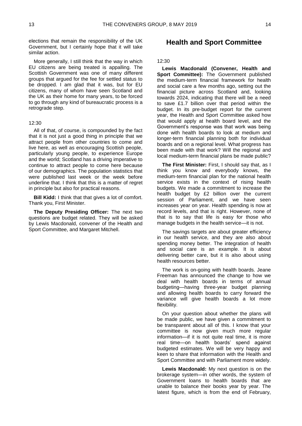elections that remain the responsibility of the UK Government, but I certainly hope that it will take similar action.

More generally, I still think that the way in which EU citizens are being treated is appalling. The Scottish Government was one of many different groups that argued for the fee for settled status to be dropped. I am glad that it was, but for EU citizens, many of whom have seen Scotland and the UK as their home for many years, to be forced to go through any kind of bureaucratic process is a retrograde step.

#### 12:30

All of that, of course, is compounded by the fact that it is not just a good thing in principle that we attract people from other countries to come and live here, as well as encouraging Scottish people, particularly young people, to experience Europe and the world; Scotland has a driving imperative to continue to attract people to come here because of our demographics. The population statistics that were published last week or the week before underline that. I think that this is a matter of regret in principle but also for practical reasons.

**Bill Kidd:** I think that that gives a lot of comfort. Thank you, First Minister.

**The Deputy Presiding Officer:** The next two questions are budget related. They will be asked by Lewis Macdonald, convener of the Health and Sport Committee, and Margaret Mitchell.

## <span id="page-10-0"></span>**Health and Sport Committee**

#### 12:30

**Lewis Macdonald (Convener, Health and Sport Committee):** The Government published the medium-term financial framework for health and social care a few months ago, setting out the financial picture across Scotland and, looking towards 2024, indicating that there will be a need to save £1.7 billion over that period within the budget. In its pre-budget report for the current year, the Health and Sport Committee asked how that would apply at health board level, and the Government's response was that work was being done with health boards to look at medium and longer-term financial planning both for individual boards and on a regional level. What progress has been made with that work? Will the regional and local medium-term financial plans be made public?

**The First Minister:** First, I should say that, as I think you know and everybody knows, the medium-term financial plan for the national health service exists in the context of rising health budgets. We made a commitment to increase the health budget by £2 billion over the current session of Parliament, and we have seen increases year on year. Health spending is now at record levels, and that is right. However, none of that is to say that life is easy for those who manage budgets in the health service—it is not.

The savings targets are about greater efficiency in our health service, and they are also about spending money better. The integration of health and social care is an example. It is about delivering better care, but it is also about using health resources better.

The work is on-going with health boards. Jeane Freeman has announced the change to how we deal with health boards in terms of annual budgeting—having three-year budget planning and allowing health boards to carry forward the variance will give health boards a lot more flexibility.

On your question about whether the plans will be made public, we have given a commitment to be transparent about all of this. I know that your committee is now given much more regular information—if it is not quite real time, it is more real time—on health boards' spend against budgeted estimates. We will be very happy and keen to share that information with the Health and Sport Committee and with Parliament more widely.

**Lewis Macdonald:** My next question is on the brokerage system—in other words, the system of Government loans to health boards that are unable to balance their books year by year. The latest figure, which is from the end of February,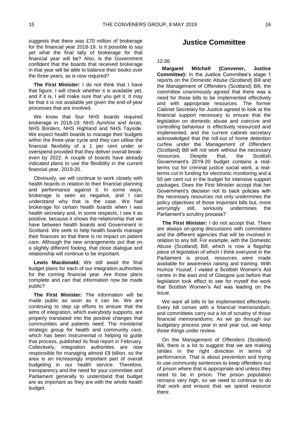suggests that there was £70 million of brokerage for the financial year 2018-19. Is it possible to say yet what the final tally of brokerage for that financial year will be? Also, is the Government confident that the boards that received brokerage in that year will be able to balance their books over the three years, as is now required?

**The First Minister:** I do not think that I have that figure. I will check whether it is available yet, and if it is, I will make sure that you get it. It may be that it is not available yet given the end-of-year processes that are involved.

We know that four NHS boards required brokerage in 2018-19: NHS Ayrshire and Arran, NHS Borders, NHS Highland and NHS Tayside. We expect health boards to manage their budgets within the three-year cycle and they can utilise the financial flexibility of a 1 per cent under or overspend provided that they deliver overall breakeven by 2022. A couple of boards have already indicated plans to use the flexibility in the current financial year, 2019-20.

Obviously, we will continue to work closely with health boards in relation to their financial planning and performance against it. In some ways, brokerage is seen as negative, and I can understand why that is the case. We had brokerage for certain health boards when I was health secretary and, in some respects, I see it as positive, because it shows the relationship that we have between health boards and Government in Scotland. We seek to help health boards manage their finances so that there is no impact on patient care. Although the new arrangements put that on a slightly different footing, that close dialogue and relationship will continue to be important.

**Lewis Macdonald:** We still await the final budget plans for each of our integration authorities for the coming financial year. Are those plans complete and can that information now be made public?

**The First Minister:** The information will be made public as soon as it can be. We are continuing to step up efforts to ensure that the aims of integration, which everybody supports, are properly translated into the positive changes that communities and patients need. The ministerial strategic group for health and community care, which has been instrumental in helping to guide that process, published its final report in February. Collectively, integration authorities are now responsible for managing almost £9 billion, so the area is an increasingly important part of overall budgeting in our health service. Therefore, transparency and the need for your committee and Parliament generally to understand that budget are as important as they are with the whole health budget.

# **Justice Committee**

#### <span id="page-11-0"></span>12:36

**Margaret Mitchell (Convener, Justice Committee):** In the Justice Committee's stage 1 reports on the Domestic Abuse (Scotland) Bill and the Management of Offenders (Scotland) Bill, the committee unanimously agreed that there was a need for those bills to be implemented effectively and with appropriate resources. The former Cabinet Secretary for Justice agreed to look at the financial support necessary to ensure that the legislation on domestic abuse and coercive and controlling behaviour is effectively resourced and implemented, and the current cabinet secretary acknowledged that the roll-out of home detention curfew under the Management of Offenders (Scotland) Bill will not work without the necessary resources. Despite that, the Scottish Government's 2019-20 budget contains a realterms cut for criminal justice social work, a realterms cut in funding for electronic monitoring and a 50 per cent cut in the budget for intensive support packages. Does the First Minister accept that her Government's decision not to back policies with the necessary resources not only undermines the policy objectives of those important bills but, more worryingly still, seriously undermines the Parliament's scrutiny process?

**The First Minister:** I do not accept that. There are always on-going discussions with committees and the different agencies that will be involved in relation to any bill. For example, with the Domestic Abuse (Scotland) Bill, which is now a flagship piece of legislation of which I think everyone in the Parliament is proud, resources were made available for awareness raising and training. With Humza Yousaf, I visited a Scottish Women's Aid centre in the east end of Glasgow just before that legislation took effect to see for myself the work that Scottish Women's Aid was leading on the issue.

We want all bills to be implemented effectively. Every bill comes with a financial memorandum, and committees carry out a lot of scrutiny of those financial memorandums. As we go through our budgetary process year in and year out, we keep those things under review.

On the Management of Offenders (Scotland) Bill, there is a lot to suggest that we are making strides in the right direction in terms of performance. That is about prevention and trying to use community sentences to keep offenders out of prison where that is appropriate and unless they need to be in prison. The prison population remains very high, so we need to continue to do that work and ensure that we spend resource there.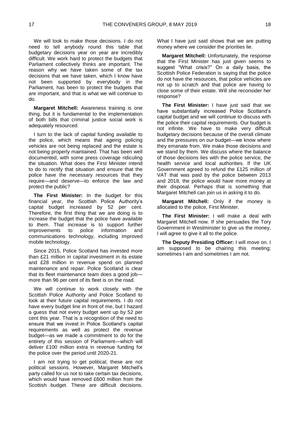We will look to make those decisions. I do not need to tell anybody round this table that budgetary decisions year on year are incredibly difficult. We work hard to protect the budgets that Parliament collectively thinks are important. The reason why we have taken some of the tax decisions that we have taken, which I know have not been supported by everybody in the Parliament, has been to protect the budgets that are important, and that is what we will continue to do.

**Margaret Mitchell:** Awareness training is one thing, but it is fundamental to the implementation of both bills that criminal justice social work is adequately resourced.

I turn to the lack of capital funding available to the police, which means that ageing policing vehicles are not being replaced and the estate is not being properly maintained. That has been well documented, with some press coverage ridiculing the situation. What does the First Minister intend to do to rectify that situation and ensure that the police have the necessary resources that they require—and deserve—to enforce the law and protect the public?

**The First Minister:** In the budget for this financial year, the Scottish Police Authority's capital budget increased by 52 per cent. Therefore, the first thing that we are doing is to increase the budget that the police have available to them. That increase is to support further improvements to police information and communications technology, including improved mobile technology.

Since 2015, Police Scotland has invested more than £21 million in capital investment in its estate and £28 million in revenue spend on planned maintenance and repair. Police Scotland is clear that its fleet maintenance team does a good job more than 96 per cent of its fleet is on the road.

We will continue to work closely with the Scottish Police Authority and Police Scotland to look at their future capital requirements. I do not have every budget line in front of me, but I hazard a guess that not every budget went up by 52 per cent this year. That is a recognition of the need to ensure that we invest in Police Scotland's capital requirements as well as protect the revenue budget—as we made a commitment to do for the entirety of this session of Parliament—which will deliver £100 million extra in revenue funding for the police over the period until 2020-21.

I am not trying to get political; these are not political sessions. However, Margaret Mitchell's party called for us not to take certain tax decisions, which would have removed £600 million from the Scottish budget. These are difficult decisions.

What I have just said shows that we are putting money where we consider the priorities lie.

**Margaret Mitchell:** Unfortunately, the response that the First Minister has just given seems to suggest "What crisis?" On a daily basis, the Scottish Police Federation is saying that the police do not have the resources, that police vehicles are not up to scratch and that police are having to close some of their estate. Will she reconsider her response?

**The First Minister:** I have just said that we have substantially increased Police Scotland's capital budget and we will continue to discuss with the police their capital requirements. Our budget is not infinite. We have to make very difficult budgetary decisions because of the overall climate and the pressures on our budget—we know where they emanate from. We make those decisions and we stand by them. We discuss where the balance of those decisions lies with the police service, the health service and local authorities. If the UK Government agreed to refund the £125 million of VAT that was paid by the police between 2013 and 2018, the police would have more money at their disposal. Perhaps that is something that Margaret Mitchell can join us in asking it to do.

**Margaret Mitchell:** Only if the money is allocated to the police, First Minister.

**The First Minister:** I will make a deal with Margaret Mitchell now. If she persuades the Tory Government in Westminster to give us the money, I will agree to give it all to the police.

**The Deputy Presiding Officer:** I will move on. I am supposed to be chairing this meeting; sometimes I am and sometimes I am not.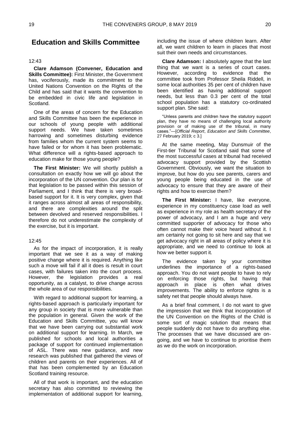# <span id="page-13-0"></span>**Education and Skills Committee**

#### 12:43

**Clare Adamson (Convener, Education and Skills Committee):** First Minister, the Government has, vociferously, made its commitment to the United Nations Convention on the Rights of the Child and has said that it wants the convention to be embedded in civic life and legislation in Scotland.

One of the areas of concern for the Education and Skills Committee has been the experience in our schools of young people with additional support needs. We have taken sometimes harrowing and sometimes disturbing evidence from families whom the current system seems to have failed or for whom it has been problematic. What difference will a rights-based approach to education make for those young people?

**The First Minister:** We will shortly publish a consultation on exactly how we will go about the incorporation of the UN convention. Our plan is for that legislation to be passed within this session of Parliament, and I think that there is very broadbased support for it. It is very complex, given that it ranges across almost all areas of responsibility, and there are complexities around the split between devolved and reserved responsibilities. I therefore do not underestimate the complexity of the exercise, but it is important.

#### 12:45

As for the impact of incorporation, it is really important that we see it as a way of making positive change where it is required. Anything like such a move will fail if all it does is result in court cases, with failures taken into the court process. However, the legislation provides a real opportunity, as a catalyst, to drive change across the whole area of our responsibilities.

With regard to additional support for learning, a rights-based approach is particularly important for any group in society that is more vulnerable than the population in general. Given the work of the Education and Skills Committee, you will know that we have been carrying out substantial work on additional support for learning. In March, we published for schools and local authorities a package of support for continued implementation of ASL. There was new guidance, and new research was published that gathered the views of children and parents on their experiences. All of that has been complemented by an Education Scotland training resource.

All of that work is important, and the education secretary has also committed to reviewing the implementation of additional support for learning, including the issue of where children learn. After all, we want children to learn in places that most suit their own needs and circumstances.

**Clare Adamson:** I absolutely agree that the last thing that we want is a series of court cases. However, according to evidence that the committee took from Professor Sheila Riddell, in some local authorities 35 per cent of children have been identified as having additional support needs, but less than 0.3 per cent of the total school population has a statutory co-ordinated support plan. She said:

"Unless parents and children have the statutory support plan, they have no means of challenging local authority provision or of making use of the tribunal, in many cases."—[*Official Report*, *Education and Skills Committee*, 27 February 2019; c 3.]

At the same meeting, May Dunsmuir of the First-tier Tribunal for Scotland said that some of the most successful cases at tribunal had received advocacy support provided by the Scottish Government. Obviously, we want the situation to improve, but how do you see parents, carers and young people being educated in the use of advocacy to ensure that they are aware of their rights and how to exercise them?

**The First Minister:** I have, like everyone, experience in my constituency case load as well as experience in my role as health secretary of the power of advocacy, and I am a huge and very committed supporter of advocacy for those who often cannot make their voice heard without it. I am certainly not going to sit here and say that we get advocacy right in all areas of policy where it is appropriate, and we need to continue to look at how we better support it.

The evidence taken by your committee underlines the importance of a rights-based approach. You do not want people to have to rely on enforcing those rights, but having that approach in place is often what drives improvements. The ability to enforce rights is a safety net that people should always have.

As a brief final comment, I do not want to give the impression that we think that incorporation of the UN Convention on the Rights of the Child is some sort of magic solution that means that people suddenly do not have to do anything else. The processes that we have discussed are ongoing, and we have to continue to prioritise them as we do the work on incorporation.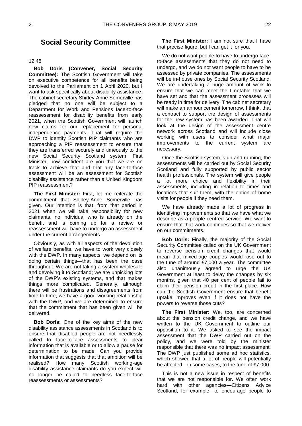# <span id="page-14-0"></span>**Social Security Committee**

#### $12.48$

**Bob Doris (Convener, Social Security Committee):** The Scottish Government will take on executive competence for all benefits being devolved to the Parliament on 1 April 2020, but I want to ask specifically about disability assistance. The cabinet secretary Shirley-Anne Somerville has pledged that no one will be subject to a Department for Work and Pensions face-to-face reassessment for disability benefits from early 2021, when the Scottish Government will launch new claims for our replacement for personal independence payments. That will require the DWP to identify Scottish PIP claimants who are approaching a PIP reassessment to ensure that they are transferred securely and timeously to the new Social Security Scotland system. First Minister, how confident are you that we are on track to achieve that and that any face-to-face assessment will be an assessment for Scottish disability assistance rather than a United Kingdom PIP reassessment?

**The First Minister:** First, let me reiterate the commitment that Shirley-Anne Somerville has given. Our intention is that, from that period in 2021 when we will take responsibility for new claimants, no individual who is already on the benefit and is coming up for a review or reassessment will have to undergo an assessment under the current arrangements.

Obviously, as with all aspects of the devolution of welfare benefits, we have to work very closely with the DWP. In many aspects, we depend on its doing certain things—that has been the case throughout. We are not taking a system wholesale and devolving it to Scotland; we are unpicking lots of the DWP's existing systems, and that makes things more complicated. Generally, although there will be frustrations and disagreements from time to time, we have a good working relationship with the DWP, and we are determined to ensure that the commitment that has been given will be delivered.

**Bob Doris:** One of the key aims of the new disability assistance assessments in Scotland is to ensure that disabled people are not needlessly called to face-to-face assessments to clear information that is available or to allow a pause for determination to be made. Can you provide information that suggests that that ambition will be realised? How many Scottish working-age disability assistance claimants do you expect will no longer be called to needless face-to-face reassessments or assessments?

**The First Minister:** I am not sure that I have that precise figure, but I can get it for you.

We do not want people to have to undergo faceto-face assessments that they do not need to undergo, and we do not want people to have to be assessed by private companies. The assessments will be in-house ones by Social Security Scotland. We are undertaking a huge amount of work to ensure that we can meet the timetable that we have set and that the assessment processes will be ready in time for delivery. The cabinet secretary will make an announcement tomorrow, I think, that a contract to support the design of assessments for the new system has been awarded. That will look at the design of the assessment centre network across Scotland and will include close working with users to consider what major improvements to the current system are necessary.

Once the Scottish system is up and running, the assessments will be carried out by Social Security Scotland and fully supported by public sector health professionals. The system will give people a lot more choice and flexibility in their assessments, including in relation to times and locations that suit them, with the option of home visits for people if they need them.

We have already made a lot of progress in identifying improvements so that we have what we describe as a people-centred service. We want to ensure that that work continues so that we deliver on our commitments.

**Bob Doris:** Finally, the majority of the Social Security Committee called on the UK Government to reverse pension credit changes that would mean that mixed-age couples would lose out to the tune of around £7,000 a year. The committee also unanimously agreed to urge the UK Government at least to delay the changes by six months, given that 40 per cent of people fail to claim their pension credit in the first place. How can the Scottish Government ensure that benefit uptake improves even if it does not have the powers to reverse those cuts?

**The First Minister:** We, too, are concerned about the pension credit change, and we have written to the UK Government to outline our opposition to it. We asked to see the impact assessment that the DWP carried out on the policy, and we were told by the minister responsible that there was no impact assessment. The DWP just published some ad hoc statistics, which showed that a lot of people will potentially be affected—in some cases, to the tune of £7,000.

This is not a new issue in respect of benefits that we are not responsible for. We often work hard with other agencies—Citizens Advice Scotland, for example—to encourage people to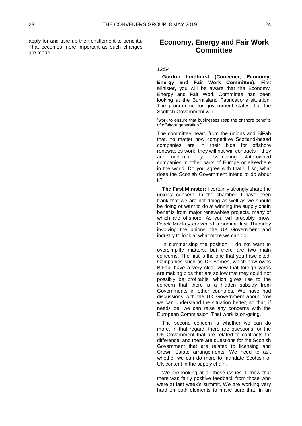apply for and take up their entitlement to benefits. That becomes more important as such changes are made.

# <span id="page-15-0"></span>**Economy, Energy and Fair Work Committee**

#### 12:54

**Gordon Lindhurst (Convener, Economy, Energy and Fair Work Committee):** First Minister, you will be aware that the Economy, Energy and Fair Work Committee has been looking at the Burntisland Fabrications situation. The programme for government states that the Scottish Government will

"work to ensure that businesses reap the onshore benefits of offshore generation."

The committee heard from the unions and BiFab that, no matter how competitive Scotland-based companies are in their bids for offshore renewables work, they will not win contracts if they are undercut by loss-making state-owned companies in other parts of Europe or elsewhere in the world. Do you agree with that? If so, what does the Scottish Government intend to do about it?

**The First Minister:** I certainly strongly share the unions' concern. In the chamber, I have been frank that we are not doing as well as we should be doing or want to do at winning the supply chain benefits from major renewables projects, many of which are offshore. As you will probably know, Derek Mackay convened a summit last Thursday involving the unions, the UK Government and industry to look at what more we can do.

In summarising the position, I do not want to oversimplify matters, but there are two main concerns. The first is the one that you have cited. Companies such as DF Barnes, which now owns BiFab, have a very clear view that foreign yards are making bids that are so low that they could not possibly be profitable, which gives rise to the concern that there is a hidden subsidy from Governments in other countries. We have had discussions with the UK Government about how we can understand the situation better, so that, if needs be, we can raise any concerns with the European Commission. That work is on-going.

The second concern is whether we can do more. In that regard, there are questions for the UK Government that are related to contracts for difference, and there are questions for the Scottish Government that are related to licensing and Crown Estate arrangements. We need to ask whether we can do more to mandate Scottish or UK content in the supply chain.

We are looking at all those issues. I know that there was fairly positive feedback from those who were at last week's summit. We are working very hard on both elements to make sure that, in an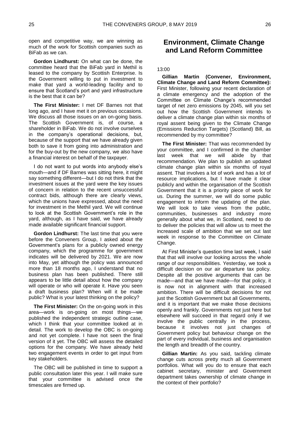open and competitive way, we are winning as much of the work for Scottish companies such as BiFab as we can.

**Gordon Lindhurst:** On what can be done, the committee heard that the BiFab yard in Methil is leased to the company by Scottish Enterprise. Is the Government willing to put in investment to make that yard a world-leading facility and to ensure that Scotland's port and yard infrastructure is the best that it can be?

**The First Minister:** I met DF Barnes not that long ago, and I have met it on previous occasions. We discuss all those issues on an on-going basis. The Scottish Government is, of course, a shareholder in BiFab. We do not involve ourselves in the company's operational decisions, but, because of the support that we have already given both to save it from going into administration and for the buy-out by the new company, we also have a financial interest on behalf of the taxpayer.

I do not want to put words into anybody else's mouth—and if DF Barnes was sitting here, it might say something different—but I do not think that the investment issues at the yard were the key issues of concern in relation to the recent unsuccessful contract bids, although there are clearly views, which the unions have expressed, about the need for investment in the Methil yard. We will continue to look at the Scottish Government's role in the yard, although, as I have said, we have already made available significant financial support.

**Gordon Lindhurst:** The last time that you were before the Conveners Group, I asked about the Government's plans for a publicly owned energy company, which the programme for government indicates will be delivered by 2021. We are now into May, yet although the policy was announced more than 18 months ago, I understand that no business plan has been published. There still appears to be little detail about how the company will operate or who will operate it. Have you seen a draft business plan? When will it be made public? What is your latest thinking on the policy?

**The First Minister:** On the on-going work in this area—work is on-going on most things—we published the independent strategic outline case, which I think that your committee looked at in detail. The work to develop the OBC is on-going and not yet complete. I have not seen the final version of it yet. The OBC will assess the detailed options for the company. We have already held two engagement events in order to get input from key stakeholders.

The OBC will be published in time to support a public consultation later this year. I will make sure that your committee is advised once the timescales are firmed up.

# <span id="page-16-0"></span>**Environment, Climate Change and Land Reform Committee**

#### 13:00

**Gillian Martin (Convener, Environment, Climate Change and Land Reform Committee):**  First Minister, following your recent declaration of a climate emergency and the adoption of the Committee on Climate Change's recommended target of net zero emissions by 2045, will you set out how the Scottish Government intends to deliver a climate change plan within six months of royal assent being given to the Climate Change (Emissions Reduction Targets) (Scotland) Bill, as recommended by my committee?

**The First Minister:** That was recommended by your committee, and I confirmed in the chamber last week that we will abide by that recommendation. We plan to publish an updated climate change plan within six months of royal assent. That involves a lot of work and has a lot of resource implications, but I have made it clear publicly and within the organisation of the Scottish Government that it is a priority piece of work for us. During the summer, we will do some public engagement to inform the updating of the plan. We will look to take views from the public, communities, businesses and industry more generally about what we, in Scotland, need to do to deliver the policies that will allow us to meet the increased scale of ambition that we set out last week in response to the Committee on Climate Change.

At First Minister's question time last week, I said that that will involve our looking across the whole range of our responsibilities. Yesterday, we took a difficult decision on our air departure tax policy. Despite all the positive arguments that can be made—and that we have made—for that policy, it is now not in alignment with that increased ambition. There will be difficult decisions for not just the Scottish Government but all Governments, and it is important that we make those decisions openly and frankly. Governments not just here but elsewhere will succeed in that regard only if we involve the public centrally in the process, because it involves not just changes of Government policy but behaviour change on the part of every individual, business and organisation the length and breadth of the country.

**Gillian Martin:** As you said, tackling climate change cuts across pretty much all Government portfolios. What will you do to ensure that each cabinet secretary, minister and Government department takes ownership of climate change in the context of their portfolio?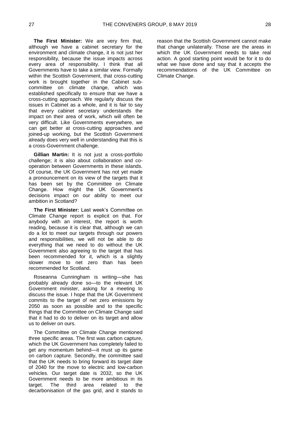**The First Minister:** We are very firm that, although we have a cabinet secretary for the environment and climate change, it is not just her responsibility, because the issue impacts across every area of responsibility. I think that all Governments have to take a similar view. Formally within the Scottish Government, that cross-cutting work is brought together in the Cabinet subcommittee on climate change, which was established specifically to ensure that we have a cross-cutting approach. We regularly discuss the issues in Cabinet as a whole, and it is fair to say that every cabinet secretary understands the impact on their area of work, which will often be very difficult. Like Governments everywhere, we can get better at cross-cutting approaches and joined-up working, but the Scottish Government already does very well in understanding that this is a cross-Government challenge.

**Gillian Martin:** It is not just a cross-portfolio challenge; it is also about collaboration and cooperation between Governments in these islands. Of course, the UK Government has not yet made a pronouncement on its view of the targets that it has been set by the Committee on Climate Change. How might the UK Government's decisions impact on our ability to meet our ambition in Scotland?

**The First Minister:** Last week's Committee on Climate Change report is explicit on that. For anybody with an interest, the report is worth reading, because it is clear that, although we can do a lot to meet our targets through our powers and responsibilities, we will not be able to do everything that we need to do without the UK Government also agreeing to the target that has been recommended for it, which is a slightly slower move to net zero than has been recommended for Scotland.

Roseanna Cunningham is writing—she has probably already done so—to the relevant UK Government minister, asking for a meeting to discuss the issue. I hope that the UK Government commits to the target of net zero emissions by 2050 as soon as possible and to the specific things that the Committee on Climate Change said that it had to do to deliver on its target and allow us to deliver on ours.

The Committee on Climate Change mentioned three specific areas. The first was carbon capture, which the UK Government has completely failed to get any momentum behind—it must up its game on carbon capture. Secondly, the committee said that the UK needs to bring forward its target date of 2040 for the move to electric and low-carbon vehicles. Our target date is 2032, so the UK Government needs to be more ambitious in its target. The third area related to the decarbonisation of the gas grid, and it stands to

reason that the Scottish Government cannot make that change unilaterally. Those are the areas in which the UK Government needs to take real action. A good starting point would be for it to do what we have done and say that it accepts the recommendations of the UK Committee on Climate Change.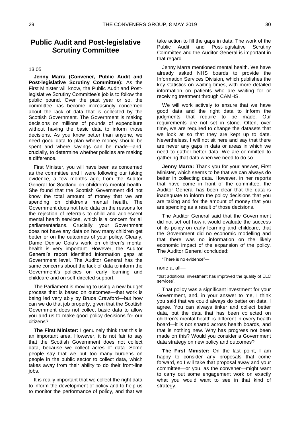# <span id="page-18-0"></span>**Public Audit and Post-legislative Scrutiny Committee**

#### 13:05

**Jenny Marra (Convener, Public Audit and Post-legislative Scrutiny Committee):** As the First Minister will know, the Public Audit and Postlegislative Scrutiny Committee's job is to follow the public pound. Over the past year or so, the committee has become increasingly concerned about the lack of data that is collected by the Scottish Government. The Government is making decisions on millions of pounds of expenditure without having the basic data to inform those decisions. As you know better than anyone, we need good data to plan where money should be spent and where savings can be made—and, crucially, to determine whether policies are making a difference.

First Minister, you will have been as concerned as the committee and I were following our taking evidence, a few months ago, from the Auditor General for Scotland on children's mental health. She found that the Scottish Government did not know the total amount of money that we are spending on children's mental health. The Government does not hold data on the reasons for the rejection of referrals to child and adolescent mental health services, which is a concern for all parliamentarians. Crucially, your Government does not have any data on how many children get better or on the outcomes of your policy. Clearly, Dame Denise Coia's work on children's mental health is very important. However, the Auditor General's report identified information gaps at Government level. The Auditor General has the same concerns about the lack of data to inform the Government's policies on early learning and childcare and on self-directed support.

The Parliament is moving to using a new budget process that is based on outcomes—that work is being led very ably by Bruce Crawford—but how can we do that job properly, given that the Scottish Government does not collect basic data to allow you and us to make good policy decisions for our citizens?

**The First Minister:** I genuinely think that this is an important area. However, it is not fair to say that the Scottish Government does not collect data, because we collect acres of data. Some people say that we put too many burdens on people in the public sector to collect data, which takes away from their ability to do their front-line jobs.

It is really important that we collect the right data to inform the development of policy and to help us to monitor the performance of policy, and that we take action to fill the gaps in data. The work of the Public Audit and Post-legislative Scrutiny Committee and the Auditor General is important in that regard.

Jenny Marra mentioned mental health. We have already asked NHS boards to provide the Information Services Division, which publishes the key statistics on waiting times, with more detailed information on patients who are waiting for or receiving treatment through CAMHS.

We will work actively to ensure that we have good data and the right data to inform the judgments that require to be made. Our requirements are not set in stone. Often, over time, we are required to change the datasets that we look at so that they are kept up to date. Nevertheless, I will not sit here and say that there are never any gaps in data or areas in which we need to gather better data. We are committed to gathering that data when we need to do so.

**Jenny Marra:** Thank you for your answer, First Minister, which seems to be that we can always do better in collecting data. However, in her reports that have come in front of the committee, the Auditor General has been clear that the data is inadequate to inform the policy decisions that you are taking and for the amount of money that you are spending as a result of those decisions.

The Auditor General said that the Government did not set out how it would evaluate the success of its policy on early learning and childcare, that the Government did no economic modelling and that there was no information on the likely economic impact of the expansion of the policy. The Auditor General concluded:

"There is no evidence"—

none at all—

"that additional investment has improved the quality of ELC services".

That policy was a significant investment for your Government, and, in your answer to me, I think you said that we could always do better on data. I agree. You can always tinker and collect better data, but the data that has been collected on children's mental health is different in every health board—it is not shared across health boards, and that is nothing new. Why has progress not been made on this? Would you consider a Government data strategy on new policy and outcomes?

**The First Minister:** On the last point, I am happy to consider any proposals that come forward, so I will take that proposal away and your committee—or you, as the convener—might want to carry out some engagement work on exactly what you would want to see in that kind of strategy.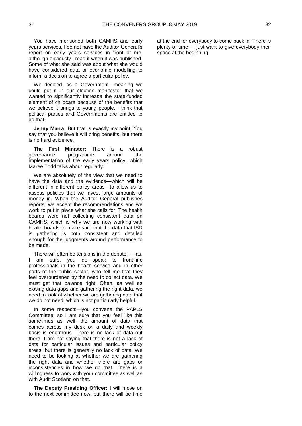You have mentioned both CAMHS and early years services. I do not have the Auditor General's report on early years services in front of me, although obviously I read it when it was published. Some of what she said was about what she would have considered data or economic modelling to inform a decision to agree a particular policy.

We decided, as a Government—meaning we could put it in our election manifesto—that we wanted to significantly increase the state-funded element of childcare because of the benefits that we believe it brings to young people. I think that political parties and Governments are entitled to do that.

**Jenny Marra:** But that is exactly my point. You say that you believe it will bring benefits, but there is no hard evidence.

**The First Minister:** There is a robust governance programme around the implementation of the early years policy, which Maree Todd talks about regularly.

We are absolutely of the view that we need to have the data and the evidence—which will be different in different policy areas—to allow us to assess policies that we invest large amounts of money in. When the Auditor General publishes reports, we accept the recommendations and we work to put in place what she calls for. The health boards were not collecting consistent data on CAMHS, which is why we are now working with health boards to make sure that the data that ISD is gathering is both consistent and detailed enough for the judgments around performance to be made.

There will often be tensions in the debate. I—as, I am sure, you do—speak to front-line professionals in the health service and in other parts of the public sector, who tell me that they feel overburdened by the need to collect data. We must get that balance right. Often, as well as closing data gaps and gathering the right data, we need to look at whether we are gathering data that we do not need, which is not particularly helpful.

In some respects—you convene the PAPLS Committee, so I am sure that you feel like this sometimes as well—the amount of data that comes across my desk on a daily and weekly basis is enormous. There is no lack of data out there. I am not saying that there is not a lack of data for particular issues and particular policy areas, but there is generally no lack of data. We need to be looking at whether we are gathering the right data and whether there are gaps or inconsistencies in how we do that. There is a willingness to work with your committee as well as with Audit Scotland on that.

**The Deputy Presiding Officer:** I will move on to the next committee now, but there will be time

at the end for everybody to come back in. There is plenty of time—I just want to give everybody their space at the beginning.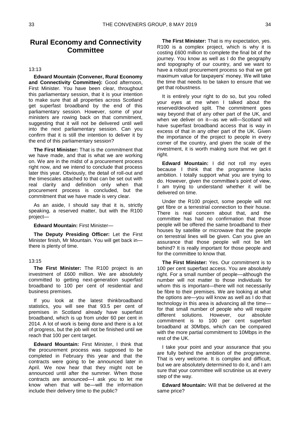# <span id="page-20-0"></span>**Rural Economy and Connectivity Committee**

#### 13:13

**Edward Mountain (Convener, Rural Economy and Connectivity Committee):** Good afternoon, First Minister. You have been clear, throughout this parliamentary session, that it is your intention to make sure that all properties across Scotland get superfast broadband by the end of this parliamentary session. However, some of your ministers are rowing back on that commitment, suggesting that it will not be delivered until well into the next parliamentary session. Can you confirm that it is still the intention to deliver it by the end of this parliamentary session?

**The First Minister:** That is the commitment that we have made, and that is what we are working on. We are in the midst of a procurement process right now, and we intend to conclude that process later this year. Obviously, the detail of roll-out and the timescales attached to that can be set out with real clarity and definition only when that procurement process is concluded, but the commitment that we have made is very clear.

As an aside, I should say that it is, strictly speaking, a reserved matter, but with the R100 project—

#### **Edward Mountain:** First Minister—

**The Deputy Presiding Officer:** Let the First Minister finish, Mr Mountain. You will get back in there is plenty of time.

#### 13:15

**The First Minister:** The R100 project is an investment of £600 million. We are absolutely committed to getting next-generation superfast broadband to 100 per cent of residential and business premises.

If you look at the latest thinkbroadband statistics, you will see that 93.5 per cent of premises in Scotland already have superfast broadband, which is up from under 60 per cent in 2014. A lot of work is being done and there is a lot of progress, but the job will not be finished until we reach that 100 per cent target.

**Edward Mountain:** First Minister, I think that the procurement process was supposed to be completed in February this year and that the contracts were going to be announced later in April. We now hear that they might not be announced until after the summer. When those contracts are announced—I ask you to let me know when that will be—will the information include their delivery time to the public?

**The First Minister:** That is my expectation, yes. R100 is a complex project, which is why it is costing £600 million to complete the final bit of the journey. You know as well as I do the geography and topography of our country, and we want to have a robust procurement process so that we get maximum value for taxpayers' money. We will take the time that needs to be taken to ensure that we get that robustness.

It is entirely your right to do so, but you rolled your eyes at me when I talked about the reserved/devolved split. The commitment goes way beyond that of any other part of the UK, and when we deliver on it—as we will—Scotland will have superfast broadband access that is way in excess of that in any other part of the UK. Given the importance of the project to people in every corner of the country, and given the scale of the investment, it is worth making sure that we get it right.

**Edward Mountain:** I did not roll my eyes because I think that the programme lacks ambition. I totally support what you are trying to do. However, given the committee's point of view, I am trying to understand whether it will be delivered on time.

Under the R100 project, some people will not get fibre or a terrestrial connection to their house. There is real concern about that, and the committee has had no confirmation that those people will be offered the same broadband to their houses by satellite or microwave that the people on terrestrial lines will be given. Can you give an assurance that those people will not be left behind? It is really important for those people and for the committee to know that.

**The First Minister:** Yes. Our commitment is to 100 per cent superfast access. You are absolutely right. For a small number of people—although the number will not matter to those individuals for whom this is important—there will not necessarily be fibre to their premises. We are looking at what the options are—you will know as well as I do that technology in this area is advancing all the time for that small number of people who will require different solutions. However, our absolute commitment is to 100 per cent superfast broadband at 30Mbps, which can be compared with the more partial commitment to 10Mbps in the rest of the UK.

I take your point and your assurance that you are fully behind the ambition of the programme. That is very welcome. It is complex and difficult, but we are absolutely determined to do it, and I am sure that your committee will scrutinise us at every step of the way.

**Edward Mountain:** Will that be delivered at the same price?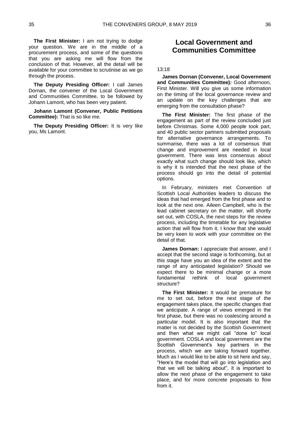**The First Minister:** I am not trying to dodge your question. We are in the middle of a procurement process, and some of the questions that you are asking me will flow from the conclusion of that. However, all the detail will be available for your committee to scrutinise as we go through the process.

**The Deputy Presiding Officer:** I call James Dornan, the convener of the Local Government and Communities Committee, to be followed by Johann Lamont, who has been very patient.

**Johann Lamont (Convener, Public Petitions Committee):** That is so like me.

**The Deputy Presiding Officer:** It is very like you, Ms Lamont.

# <span id="page-21-0"></span>**Local Government and Communities Committee**

#### 13:18

**James Dornan (Convener, Local Government and Communities Committee):** Good afternoon, First Minister. Will you give us some information on the timing of the local governance review and an update on the key challenges that are emerging from the consultation phase?

**The First Minister:** The first phase of the engagement as part of the review concluded just before Christmas. Some 4,000 people took part, and 40 public sector partners submitted proposals for alternative governance arrangements. To summarise, there was a lot of consensus that change and improvement are needed in local government. There was less consensus about exactly what such change should look like, which is why it is intended that the next phase of the process should go into the detail of potential options.

In February, ministers met Convention of Scottish Local Authorities leaders to discuss the ideas that had emerged from the first phase and to look at the next one. Aileen Campbell, who is the lead cabinet secretary on the matter, will shortly set out, with COSLA, the next steps for the review process, including the timetable for any legislative action that will flow from it. I know that she would be very keen to work with your committee on the detail of that.

**James Dornan:** I appreciate that answer, and I accept that the second stage is forthcoming, but at this stage have you an idea of the extent and the range of any anticipated legislation? Should we expect there to be minimal change or a more fundamental rethink of local government structure?

**The First Minister:** It would be premature for me to set out, before the next stage of the engagement takes place, the specific changes that we anticipate. A range of views emerged in the first phase, but there was no coalescing around a particular model. It is also important that the matter is not decided by the Scottish Government and then what we might call "done to" local government. COSLA and local government are the Scottish Government's key partners in the process, which we are taking forward together. Much as I would like to be able to sit here and say, "Here's the model that will go into legislation and that we will be talking about", it is important to allow the next phase of the engagement to take place, and for more concrete proposals to flow from it.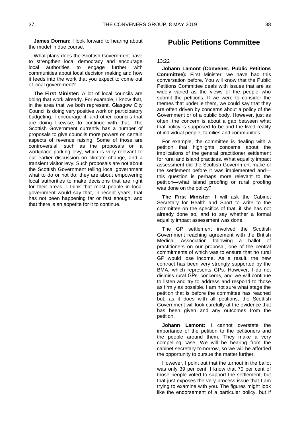**James Dornan:** I look forward to hearing about the model in due course.

What plans does the Scottish Government have to strengthen local democracy and encourage local authorities to engage further with communities about local decision making and how it feeds into the work that you expect to come out of local government?

**The First Minister:** A lot of local councils are doing that work already. For example, I know that, in the area that we both represent, Glasgow City Council is doing very positive work on participatory budgeting. I encourage it, and other councils that are doing likewise, to continue with that. The Scottish Government currently has a number of proposals to give councils more powers on certain aspects of revenue raising. Some of those are controversial, such as the proposals on a workplace parking levy, which is very relevant to our earlier discussion on climate change, and a transient visitor levy. Such proposals are not about the Scottish Government telling local government what to do or not do; they are about empowering local authorities to make decisions that are right for their areas. I think that most people in local government would say that, in recent years, that has not been happening far or fast enough, and that there is an appetite for it to continue.

# <span id="page-22-0"></span>**Public Petitions Committee**

#### 13:22

**Johann Lamont (Convener, Public Petitions Committee):** First Minister, we have had this conversation before. You will know that the Public Petitions Committee deals with issues that are as widely varied as the views of the people who submit the petitions. If we were to consider the themes that underlie them, we could say that they are often driven by concerns about a policy of the Government or of a public body. However, just as often, the concern is about a gap between what that policy is supposed to be and the lived reality of individual people, families and communities.

For example, the committee is dealing with a petition that highlights concerns about the implications of the general practitioner settlement for rural and island practices. What equality impact assessment did the Scottish Government make of the settlement before it was implemented and this question is perhaps more relevant to the petition—what island proofing or rural proofing was done on the policy?

**The First Minister:** I will ask the Cabinet Secretary for Health and Sport to write to the committee on the specifics of that, if she has not already done so, and to say whether a formal equality impact assessment was done.

The GP settlement involved the Scottish Government reaching agreement with the British Medical Association following a ballot of practitioners on our proposal, one of the central commitments of which was to ensure that no rural GP would lose income. As a result, the new contract has been very strongly supported by the BMA, which represents GPs. However, I do not dismiss rural GPs' concerns, and we will continue to listen and try to address and respond to those as firmly as possible. I am not sure what stage the petition that is before the committee has reached but, as it does with all petitions, the Scottish Government will look carefully at the evidence that has been given and any outcomes from the petition.

**Johann Lamont:** I cannot overstate the importance of the petition to the petitioners and the people around them. They make a very compelling case. We will be hearing from the cabinet secretary tomorrow, so we will be afforded the opportunity to pursue the matter further.

However, I point out that the turnout in the ballot was only 39 per cent. I know that 70 per cent of those people voted to support the settlement, but that just exposes the very process issue that I am trying to examine with you. The figures might look like the endorsement of a particular policy, but if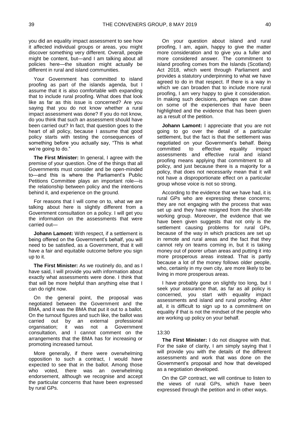you did an equality impact assessment to see how it affected individual groups or areas, you might discover something very different. Overall, people might be content, but—and I am talking about all policies here—the situation might actually be different in rural and island communities.

Your Government has committed to island proofing as part of the islands agenda, but I assume that it is also comfortable with expanding that to include rural proofing. What does that look like as far as this issue is concerned? Are you saying that you do not know whether a rural impact assessment was done? If you do not know, do you think that such an assessment should have been carried out? In fact, that question goes to the heart of all policy, because I assume that good policy starts with testing the consequences of something before you actually say, "This is what we're going to do."

**The First Minister:** In general, I agree with the premise of your question. One of the things that all Governments must consider and be open-minded to—and this is where the Parliament's Public Petitions Committee plays an important role—is the relationship between policy and the intentions behind it, and experience on the ground.

For reasons that I will come on to, what we are talking about here is slightly different from a Government consultation on a policy. I will get you the information on the assessments that were carried out—

**Johann Lamont:** With respect, if a settlement is being offered on the Government's behalf, you will need to be satisfied, as a Government, that it will have a fair and equitable outcome before you sign up to it.

**The First Minister:** As we routinely do, and as I have said, I will provide you with information about exactly what assessments were done. I think that that will be more helpful than anything else that I can do right now.

On the general point, the proposal was negotiated between the Government and the BMA, and it was the BMA that put it out to a ballot. On the turnout figures and such like, the ballot was carried out by an external professional organisation; it was not a Government consultation, and I cannot comment on the arrangements that the BMA has for increasing or promoting increased turnout.

More generally, if there were overwhelming opposition to such a contract, I would have expected to see that in the ballot. Among those who voted, there was an overwhelming endorsement, although we recognise and accept the particular concerns that have been expressed by rural GPs.

On your question about island and rural proofing, I am, again, happy to give the matter more consideration and to give you a fuller and more considered answer. The commitment to island proofing comes from the Islands (Scotland) Act 2018, which went through Parliament and provides a statutory underpinning to what we have agreed to do in that respect. If there is a way in which we can broaden that to include more rural proofing, I am very happy to give it consideration. In making such decisions, perhaps we can draw on some of the experiences that have been highlighted and the evidence that has been given as a result of the petition.

**Johann Lamont:** I appreciate that you are not going to go over the detail of a particular settlement, but the fact is that the settlement was negotiated on your Government's behalf. Being committed to effective equality impact assessments and effective rural and island proofing means applying that commitment to all policy, and just because there is a majority for a policy, that does not necessarily mean that it will not have a disproportionate effect on a particular group whose voice is not so strong.

According to the evidence that we have had, it is rural GPs who are expressing these concerns; they are not engaging with the process that was set up and they have resigned from the short-life working group. Moreover, the evidence that we have been given suggests that not only is the settlement causing problems for rural GPs, because of the way in which practices are set up in remote and rural areas and the fact that they cannot rely on teams coming in, but it is taking money out of poorer urban areas and putting it into more prosperous areas instead. That is partly because a lot of the money follows older people, who, certainly in my own city, are more likely to be living in more prosperous areas.

I have probably gone on slightly too long, but I seek your assurance that, as far as all policy is concerned, you start with equality impact assessments and island and rural proofing. After all, it is difficult to sign up to a commitment on equality if that is not the mindset of the people who are working up policy on your behalf.

#### 13:30

**The First Minister:** I do not disagree with that. For the sake of clarity, I am simply saying that I will provide you with the details of the different assessments and work that was done on the Government's proposal and how that developed as a negotiation developed.

On the GP contract, we will continue to listen to the views of rural GPs, which have been expressed through the petition and in other ways.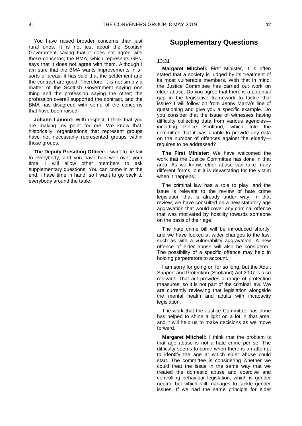You have raised broader concerns than just rural ones. It is not just about the Scottish Government saying that it does not agree with those concerns; the BMA, which represents GPs, says that it does not agree with them. Although I am sure that the BMA wants improvements in all sorts of areas, it has said that the settlement and the contract are good. Therefore, it is not simply a matter of the Scottish Government saying one thing and the profession saying the other; the profession overall supported the contract, and the BMA has disagreed with some of the concerns that have been raised.

**Johann Lamont:** With respect, I think that you are making my point for me. We know that, historically, organisations that represent groups have not necessarily represented groups within those groups.

**The Deputy Presiding Officer:** I want to be fair to everybody, and you have had well over your time. I will allow other members to ask supplementary questions. You can come in at the end. I have time in hand, so I want to go back to everybody around the table.

### <span id="page-24-0"></span>**Supplementary Questions**

#### 13:31

**Margaret Mitchell:** First Minister, it is often stated that a society is judged by its treatment of its most vulnerable members. With that in mind, the Justice Committee has carried out work on elder abuse. Do you agree that there is a potential gap in the legislative framework to tackle that issue? I will follow on from Jenny Marra's line of questioning and give you a specific example. Do you consider that the issue of witnesses having difficulty collecting data from various agencies including Police Scotland, which told the committee that it was unable to provide any data on the number of offences against the elderly requires to be addressed?

**The First Minister:** We have welcomed the work that the Justice Committee has done in that area. As we know, elder abuse can take many different forms, but it is devastating for the victim when it happens.

The criminal law has a role to play, and the issue is relevant to the review of hate crime legislation that is already under way. In that review, we have consulted on a new statutory age aggravation that would cover any criminal offence that was motivated by hostility towards someone on the basis of their age.

The hate crime bill will be introduced shortly, and we have looked at wider changes to the law, such as with a vulnerability aggravation. A new offence of elder abuse will also be considered. The possibility of a specific offence may help in holding perpetrators to account.

I am sorry for going on for so long, but the Adult Support and Protection (Scotland) Act 2007 is also relevant. That act provides a range of protection measures, so it is not part of the criminal law. We are currently reviewing that legislation alongside the mental health and adults with incapacity legislation.

The work that the Justice Committee has done has helped to shine a light on a lot in that area, and it will help us to make decisions as we move forward.

**Margaret Mitchell:** I think that the problem is that age abuse is not a hate crime per se. The difficulty seems to come when there is an attempt to identify the age at which elder abuse could start. The committee is considering whether we could treat the issue in the same way that we treated the domestic abuse and coercive and controlling behaviour legislation, which is gender neutral but which still manages to tackle gender issues. If we had the same principle for elder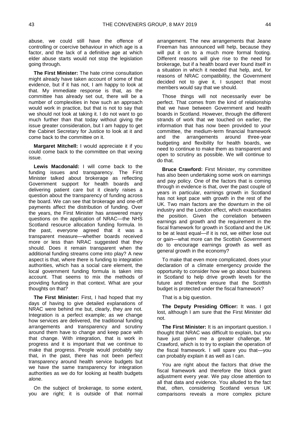abuse, we could still have the offence of controlling or coercive behaviour in which age is a factor, and the lack of a definitive age at which elder abuse starts would not stop the legislation going through.

**The First Minister:** The hate crime consultation might already have taken account of some of that evidence, but if it has not, I am happy to look at that. My immediate response is that, as the committee has already set out, there will be a number of complexities in how such an approach would work in practice, but that is not to say that we should not look at taking it. I do not want to go much further than that today without giving the issue greater consideration, but I am happy to get the Cabinet Secretary for Justice to look at it and come back to the committee on it.

**Margaret Mitchell:** I would appreciate it if you could come back to the committee on that vexing issue.

**Lewis Macdonald:** I will come back to the funding issues and transparency. The First Minister talked about brokerage as reflecting Government support for health boards and delivering patient care but it clearly raises a question about the transparency of funding across the board. We can see that brokerage and one-off payments affect the distribution of funding. Over the years, the First Minister has answered many questions on the application of NRAC—the NHS Scotland resource allocation funding formula. In the past, everyone agreed that it was a transparent measure—whether boards received more or less than NRAC suggested that they should. Does it remain transparent when the additional funding streams come into play? A new aspect is that, where there is funding to integration authorities, which has a social care element, the local government funding formula is taken into account. That seems to mix the methods of providing funding in that context. What are your thoughts on that?

**The First Minister:** First, I had hoped that my days of having to give detailed explanations of NRAC were behind me but, clearly, they are not. Integration is a perfect example; as we change how services are delivered, the traditional funding arrangements and transparency and scrutiny around them have to change and keep pace with that change. With integration, that is work in progress and it is important that we continue to make that progress. People would probably say that, in the past, there has not been perfect transparency around health service budgets but we have the same transparency for integration authorities as we do for looking at health budgets alone.

On the subject of brokerage, to some extent, you are right; it is outside of that normal arrangement. The new arrangements that Jeane Freeman has announced will help, because they will put it on to a much more formal footing. Different reasons will give rise to the need for brokerage, but if a health board ever found itself in a situation in which it needed that help, and, for reasons of NRAC compatibility, the Government decided not to give it, I suspect that most members would say that we should.

Those things will not necessarily ever be perfect. That comes from the kind of relationship that we have between Government and health boards in Scotland. However, through the different strands of work that we touched on earlier, the information that has now been provided to your committee, the medium-term financial framework and the arrangements around three-year budgeting and flexibility for health boards, we need to continue to make them as transparent and open to scrutiny as possible. We will continue to do that.

**Bruce Crawford:** First Minister, my committee has also been undertaking some work on earnings and pay policy. One of the factors that is coming through in evidence is that, over the past couple of years in particular, earnings growth in Scotland has not kept pace with growth in the rest of the UK. Two main factors are the downturn in the oil industry and the London effect, which exacerbates the position. Given the correlation between earnings and growth and the requirement in the fiscal framework for growth in Scotland and the UK to be at least equal—if it is not, we either lose out or gain—what more can the Scottish Government do to encourage earnings growth as well as general growth in the economy?

To make that even more complicated, does your declaration of a climate emergency provide the opportunity to consider how we go about business in Scotland to help drive growth levels for the future and therefore ensure that the Scottish budget is protected under the fiscal framework?

That is a big question.

**The Deputy Presiding Officer:** It was. I got lost, although I am sure that the First Minister did not.

**The First Minister:** It is an important question. I thought that NRAC was difficult to explain, but you have just given me a greater challenge, Mr Crawford, which is to try to explain the operation of the fiscal framework. I will spare you that—you can probably explain it as well as I can.

You are right about the factors that drive the fiscal framework and therefore the block grant adjustment every year. We pay close attention to all that data and evidence. You alluded to the fact that, often, considering Scotland versus UK comparisons reveals a more complex picture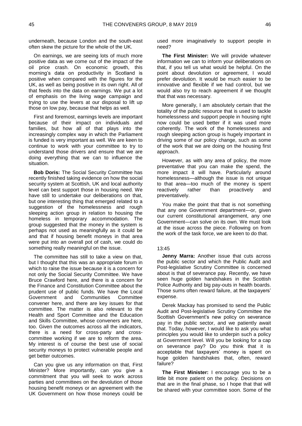underneath, because London and the south-east often skew the picture for the whole of the UK.

On earnings, we are seeing lots of much more positive data as we come out of the impact of the oil price crash. On economic growth, this morning's data on productivity in Scotland is positive when compared with the figures for the UK, as well as being positive in its own right. All of that feeds into the data on earnings. We put a lot of emphasis on the living wage campaign and trying to use the levers at our disposal to lift up those on low pay, because that helps as well.

First and foremost, earnings levels are important because of their impact on individuals and families, but how all of that plays into the increasingly complex way in which the Parliament is funded is very important as well. We are keen to continue to work with your committee to try to understand those drivers and ensure that we are doing everything that we can to influence the situation.

**Bob Doris:** The Social Security Committee has recently finished taking evidence on how the social security system at Scottish, UK and local authority level can best support those in housing need. We have still to undertake our deliberations on that, but one interesting thing that emerged related to a suggestion of the homelessness and rough sleeping action group in relation to housing the homeless in temporary accommodation. The group suggested that the money in the system is perhaps not used as meaningfully as it could be and that if housing benefit moneys in that area were put into an overall pot of cash, we could do something really meaningful on the issue.

The committee has still to take a view on that, but I thought that this was an appropriate forum in which to raise the issue because it is a concern for not only the Social Security Committee. We have Bruce Crawford here, and there is a concern for the Finance and Constitution Committee about the prudent use of public funds. We have the Local Government and Communities Committee convener here, and there are key issues for that committee. The matter is also relevant to the Health and Sport Committee and the Education and Skills Committee, whose conveners are here, too. Given the outcomes across all the indicators, there is a need for cross-party and crosscommittee working if we are to reform the area. My interest is of course the best use of social security moneys to protect vulnerable people and get better outcomes.

Can you give us any information on that, First Minister? More importantly, can you give a commitment that you will seek to work across parties and committees on the devolution of those housing benefit moneys or an agreement with the UK Government on how those moneys could be

used more imaginatively to support people in need?

**The First Minister:** We will provide whatever information we can to inform your deliberations on that, if you tell us what would be helpful. On the point about devolution or agreement, I would prefer devolution. It would be much easier to be innovative and flexible if we had control, but we would also try to reach agreement if we thought that that was necessary.

More generally, I am absolutely certain that the totality of the public resource that is used to tackle homelessness and support people in housing right now could be used better if it was used more coherently. The work of the homelessness and rough sleeping action group is hugely important in driving some of our policy change, such as some of the work that we are doing on the housing first approach.

However, as with any area of policy, the more preventative that you can make the spend, the more impact it will have. Particularly around homelessness—although the issue is not unique to that area—too much of the money is spent reactively rather than proactively and preventatively.

You make the point that that is not something that any one Government department—or, given our current constitutional arrangement, any one Government—can solve on its own. We must look at the issue across the piece. Following on from the work of the task force, we are keen to do that.

#### 13:45

**Jenny Marra:** Another issue that cuts across the public sector and which the Public Audit and Post-legislative Scrutiny Committee is concerned about is that of severance pay. Recently, we have seen huge golden handshakes in the Scottish Police Authority and big pay-outs in health boards. Those sums often reward failure, at the taxpayers' expense.

Derek Mackay has promised to send the Public Audit and Post-legislative Scrutiny Committee the Scottish Government's new policy on severance pay in the public sector, and we patiently await that. Today, however, I would like to ask you what principles you would like to underpin such a policy at Government level. Will you be looking for a cap on severance pay? Do you think that it is acceptable that taxpayers' money is spent on huge golden handshakes that, often, reward failure?

**The First Minister:** I encourage you to be a little bit more patient on the policy. Decisions on that are in the final phase, so I hope that that will be shared with your committee soon. Some of the